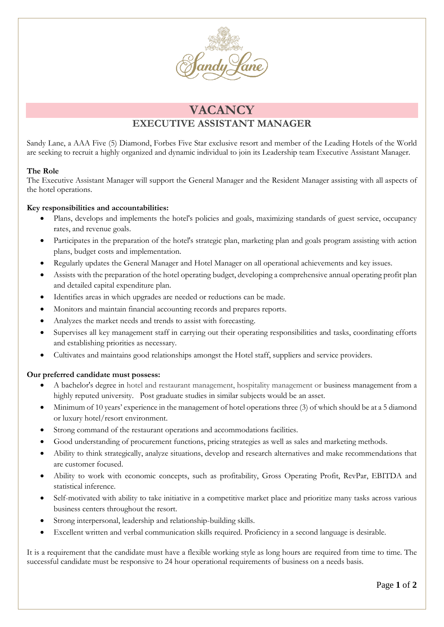

# **VACANCY**

## **EXECUTIVE ASSISTANT MANAGER**

Sandy Lane, a AAA Five (5) Diamond, Forbes Five Star exclusive resort and member of the Leading Hotels of the World are seeking to recruit a highly organized and dynamic individual to join its Leadership team Executive Assistant Manager.

### **The Role**

The Executive Assistant Manager will support the General Manager and the Resident Manager assisting with all aspects of the hotel operations.

### **Key responsibilities and accountabilities:**

- Plans, develops and implements the hotel's policies and goals, maximizing standards of guest service, occupancy rates, and revenue goals.
- Participates in the preparation of the hotel's strategic plan, marketing plan and goals program assisting with action plans, budget costs and implementation.
- Regularly updates the General Manager and Hotel Manager on all operational achievements and key issues.
- Assists with the preparation of the hotel operating budget, developing a comprehensive annual operating profit plan and detailed capital expenditure plan.
- Identifies areas in which upgrades are needed or reductions can be made.
- Monitors and maintain financial accounting records and prepares reports.
- Analyzes the market needs and trends to assist with forecasting.
- Supervises all key management staff in carrying out their operating responsibilities and tasks, coordinating efforts and establishing priorities as necessary.
- Cultivates and maintains good relationships amongst the Hotel staff, suppliers and service providers.

#### **Our preferred candidate must possess:**

- A bachelor's degree in hotel and restaurant management, hospitality management or business management from a highly reputed university. Post graduate studies in similar subjects would be an asset.
- Minimum of 10 years' experience in the management of hotel operations three (3) of which should be at a 5 diamond or luxury hotel/resort environment.
- Strong command of the restaurant operations and accommodations facilities.
- Good understanding of procurement functions, pricing strategies as well as sales and marketing methods.
- Ability to think strategically, analyze situations, develop and research alternatives and make recommendations that are customer focused.
- Ability to work with economic concepts, such as profitability, Gross Operating Profit, RevPar, EBITDA and statistical inference.
- Self-motivated with ability to take initiative in a competitive market place and prioritize many tasks across various business centers throughout the resort.
- Strong interpersonal, leadership and relationship-building skills.
- Excellent written and verbal communication skills required. Proficiency in a second language is desirable.

It is a requirement that the candidate must have a flexible working style as long hours are required from time to time. The successful candidate must be responsive to 24 hour operational requirements of business on a needs basis.